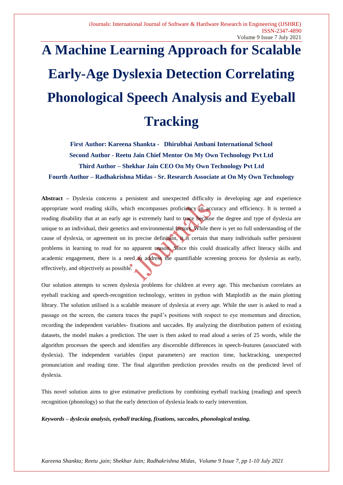# **A Machine Learning Approach for Scalable Early-Age Dyslexia Detection Correlating Phonological Speech Analysis and Eyeball Tracking**

**First Author: Kareena Shankta - Dhirubhai Ambani International School Second Author - Reetu Jain Chief Mentor On My Own Technology Pvt Ltd Third Author – Shekhar Jain CEO On My Own Technology Pvt Ltd Fourth Author – Radhakrishna Midas - Sr. Research Associate at On My Own Technology**

**Abstract** *–* Dyslexia concerns a persistent and unexpected difficulty in developing age and experience appropriate word reading skills, which encompasses proficiency in accuracy and efficiency. It is termed a reading disability that at an early age is extremely hard to trace because the degree and type of dyslexia are unique to an individual, their genetics and environmental factors. While there is yet no full understanding of the cause of dyslexia, or agreement on its precise definition, it is certain that many individuals suffer persistent problems in learning to read for no apparent reason. Since this could drastically affect literacy skills and academic engagement, there is a need to address the quantifiable screening process for dyslexia as early, effectively, and objectively as possible.

Our solution attempts to screen dyslexia problems for children at every age. This mechanism correlates an eyeball tracking and speech-recognition technology, written in python with Matplotlib as the main plotting library. The solution utilised is a scalable measure of dyslexia at every age. While the user is asked to read a passage on the screen, the camera traces the pupil's positions with respect to eye momentum and direction, recording the independent variables- fixations and saccades. By analyzing the distribution pattern of existing datasets, the model makes a prediction. The user is then asked to read aloud a series of 25 words, while the algorithm processes the speech and identifies any discernible differences in speech-features (associated with dyslexia). The independent variables (input parameters) are reaction time, backtracking, unexpected pronunciation and reading time. The final algorithm prediction provides results on the predicted level of dyslexia.

This novel solution aims to give estimative predictions by combining eyeball tracking (reading) and speech recognition (phonology) so that the early detection of dyslexia leads to early intervention.

*Keywords – dyslexia analysis, eyeball tracking, fixations, saccades, phonological testing.*

*Kareena Shankta; Reetu ,jain; Shekhar Jain; Radhakrishna Midas, Volume 9 Issue 7, pp 1-10 July 2021*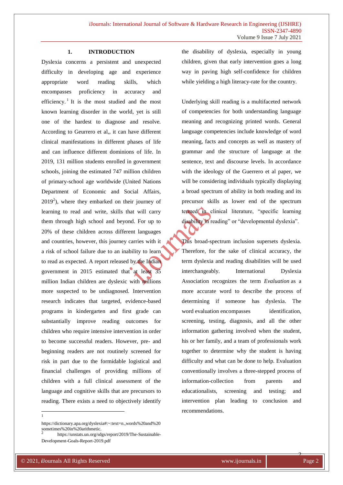# **1. INTRODUCTION**

Dyslexia concerns a persistent and unexpected difficulty in developing age and experience appropriate word reading skills, which encompasses proficiency in accuracy and efficiency.<sup>1</sup> It is the most studied and the most known learning disorder in the world, yet is still one of the hardest to diagnose and resolve. According to Geurrero et al,, it can have different clinical manifestations in different phases of life and can influence different dominions of life. In 2019, 131 million students enrolled in government schools, joining the estimated 747 million children of primary-school age worldwide (United Nations Department of Economic and Social Affairs,  $2019<sup>2</sup>$ ), where they embarked on their journey of learning to read and write, skills that will carry them through high school and beyond. For up to 20% of these children across different languages and countries, however, this journey carries with it a risk of school failure due to an inability to learn to read as expected. A report released by the Indian government in 2015 estimated that at least million Indian children are dyslexic with millions more suspected to be undiagnosed. Intervention research indicates that targeted, evidence-based programs in kindergarten and first grade can substantially improve reading outcomes for children who require intensive intervention in order to become successful readers. However, pre- and beginning readers are not routinely screened for risk in part due to the formidable logistical and financial challenges of providing millions of children with a full clinical assessment of the language and cognitive skills that are precursors to reading. There exists a need to objectively identify

|<br>|<br>|

the disability of dyslexia, especially in young children, given that early intervention goes a long way in paving high self-confidence for children while yielding a high literacy-rate for the country.

Underlying skill reading is a multifaceted network of competencies for both understanding language meaning and recognizing printed words. General language competencies include knowledge of word meaning, facts and concepts as well as mastery of grammar and the structure of language at the sentence, text and discourse levels. In accordance with the ideology of the Guerrero et al paper, we will be considering individuals typically displaying a broad spectrum of ability in both reading and its precursor skills as lower end of the spectrum termed in clinical literature, "specific learning disability in reading" or "developmental dyslexia".

This broad-spectrum inclusion supersets dyslexia. Therefore, for the sake of clinical accuracy, the term dyslexia and reading disabilities will be used interchangeably. International Dyslexia Association recognizes the term *Evaluation* as a more accurate word to describe the process of determining if someone has dyslexia. The word evaluation encompasses identification, screening, testing, diagnosis, and all the other information gathering involved when the student, his or her family, and a team of professionals work together to determine why the student is having difficulty and what can be done to help. Evaluation conventionally involves a three-stepped process of information-collection from parents and educationalists, screening and testing; and intervention plan leading to conclusion and recommendations.

https://dictionary.apa.org/dyslexia#:~:text=n.,words%20and%20 sometimes%20in%20arithmetic.

<sup>2</sup> https://unstats.un.org/sdgs/report/2019/The-Sustainable-Development-Goals-Report-2019.pdf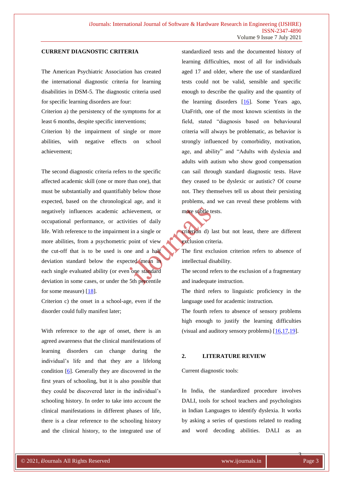# **CURRENT DIAGNOSTIC CRITERIA**

The American Psychiatric Association has created the international diagnostic criteria for learning disabilities in DSM-5. The diagnostic criteria used for specific learning disorders are four:

Criterion a) the persistency of the symptoms for at least 6 months, despite specific interventions;

Criterion b) the impairment of single or more abilities, with negative effects on school achievement;

The second diagnostic criteria refers to the specific affected academic skill (one or more than one), that must be substantially and quantifiably below those expected, based on the chronological age, and it negatively influences academic achievement, or occupational performance, or activities of daily life. With reference to the impairment in a single or more abilities, from a psychometric point of view the cut-off that is to be used is one and a half deviation standard below the expected mean in each single evaluated ability (or even one standard deviation in some cases, or under the 5th percentile for some measure)  $[18]$ .

Criterion c) the onset in a school-age, even if the disorder could fully manifest later;

With reference to the age of onset, there is an agreed awareness that the clinical manifestations of learning disorders can change during the individual's life and that they are a lifelong condition  $[6]$ . Generally they are discovered in the first years of schooling, but it is also possible that they could be discovered later in the individual's schooling history. In order to take into account the clinical manifestations in different phases of life, there is a clear reference to the schooling history and the clinical history, to the integrated use of standardized tests and the documented history of learning difficulties, most of all for individuals aged 17 and older, where the use of standardized tests could not be valid, sensible and specific enough to describe the quality and the quantity of the learning disorders  $[16]$ . Some Years ago, UtaFrith, one of the most known scientists in the field, stated "diagnosis based on behavioural criteria will always be problematic, as behavior is strongly influenced by comorbidity, motivation, age, and ability" and "Adults with dyslexia and adults with autism who show good compensation can sail through standard diagnostic tests. Have they ceased to be dyslexic or autistic? Of course not. They themselves tell us about their persisting problems, and we can reveal these problems with more subtle tests.

criterion d) last but not least, there are different exclusion criteria.

The first exclusion criterion refers to absence of intellectual disability.

The second refers to the exclusion of a fragmentary and inadequate instruction.

The third refers to linguistic proficiency in the language used for academic instruction.

The fourth refers to absence of sensory problems high enough to justify the learning difficulties (visual and auditory sensory problems) [\[16,](https://childhood-developmental-disorders.imedpub.com/dyslexia-and-specific-learning-disorders-new-international-diagnostic-criteria.php?aid=20678#16)[17](https://childhood-developmental-disorders.imedpub.com/dyslexia-and-specific-learning-disorders-new-international-diagnostic-criteria.php?aid=20678#17)[,19\]](https://childhood-developmental-disorders.imedpub.com/dyslexia-and-specific-learning-disorders-new-international-diagnostic-criteria.php?aid=20678#19).

#### **2. LITERATURE REVIEW**

#### Current diagnostic tools:

In India, the standardized procedure involves DALI, tools for school teachers and psychologists in Indian Languages to identify dyslexia. It works by asking a series of questions related to reading and word decoding abilities. DALI as an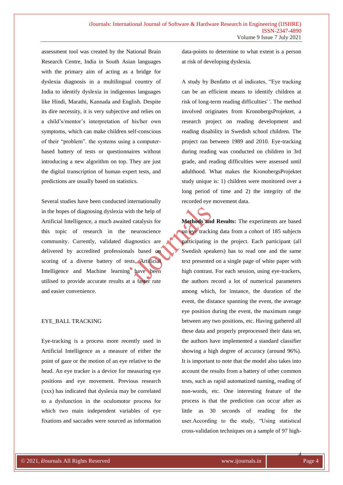assessment tool was created by the National Brain Research Centre, India in South Asian languages with the primary aim of acting as a bridge for dyslexia diagnosis in a multilingual country of India to identify dyslexia in indigenous languages like Hindi, Marathi, Kannada and English. Despite its dire necessity, it is very subjective and relies on a child's/mentor's interpretation of his/her own symptoms, which can make children self-conscious of their "problem". the systems using a computerbased battery of tests or questionnaires without introducing a new algorithm on top. They are just the digital transcription of human expert tests, and predictions are usually based on statistics.

Several studies have been conducted internationally in the hopes of diagnosing dyslexia with the help of Artificial Intelligence, a much awaited catalysis for this topic of research in the neuroscience community. Currently, validated diagnostics are delivered by accredited professionals based on scoring of a diverse battery of tests. Artificial Intelligence and Machine learning have been utilised to provide accurate results at a faster rate and easier convenience.

# EYE\_BALL TRACKING

Eye-tracking is a process more recently used in Artificial Intelligence as a measure of either the point of gaze or the motion of an eye relative to the head. An eye tracker is a device for measuring eye positions and eye movement. Previous research (xxx) has indicated that dyslexia may be correlated to a dysfunction in the oculomotor process for which two main independent variables of eye fixations and saccades were sourced as information data-points to determine to what extent is a person at risk of developing dyslexia.

A study by Benfatto et al indicates, "Eye tracking can be an efficient means to identify children at risk of long-term reading difficulties' '. The method involved originates from KronobergsProjektet, a research project on reading development and reading disability in Swedish school children. The project ran between 1989 and 2010. Eye-tracking during reading was conducted on children in 3rd grade, and reading difficulties were assessed until adulthood. What makes the KronobergsProjektet study unique is: 1) children were monitored over a long period of time and 2) the integrity of the recorded eye movement data.

**Methods and Results:** The experiments are based on eye tracking data from a cohort of 185 subjects participating in the project. Each participant (all Swedish speakers) has to read one and the same text presented on a single page of white paper with high contrast. For each session, using eye-trackers, the authors record a lot of numerical parameters among which, for instance, the duration of the event, the distance spanning the event, the average eye position during the event, the maximum range between any two positions, etc. Having gathered all these data and properly preprocessed their data set, the authors have implemented a standard classifier showing a high degree of accuracy (around 96%). It is important to note that the model also takes into account the results from a battery of other common tests, such as rapid automatized naming, reading of non-words, etc. One interesting feature of the process is that the prediction can occur after as little as 30 seconds of reading for the user.According to the study, "Using statistical cross-validation techniques on a sample of 97 high-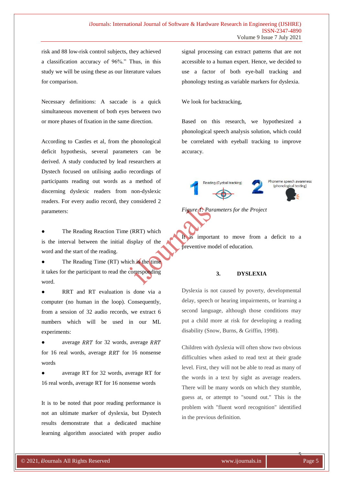risk and 88 low-risk control subjects, they achieved a classification accuracy of 96%." Thus, in this study we will be using these as our literature values for comparison.

Necessary definitions: A saccade is a quick simultaneous movement of both eyes between two or more phases of fixation in the same direction.

According to Castles et al, from the phonological deficit hypothesis, several parameters can be derived. A study conducted by lead researchers at Dystech focused on utilising audio recordings of participants reading out words as a method of discerning dyslexic readers from non-dyslexic readers. For every audio record, they considered 2 parameters:

The Reading Reaction Time (RRT) which is the interval between the initial display of the word and the start of the reading.

The Reading Time  $(RT)$  which is the time it takes for the participant to read the corresponding word.

RRT and RT evaluation is done via a computer (no human in the loop). Consequently, from a session of 32 audio records, we extract 6 numbers which will be used in our ML experiments:

average RRT for 32 words, average RRT for 16 real words, average  $RRT$  for 16 nonsense words

average RT for 32 words, average RT for 16 real words, average RT for 16 nonsense words

It is to be noted that poor reading performance is not an ultimate marker of dyslexia, but Dystech results demonstrate that a dedicated machine learning algorithm associated with proper audio

signal processing can extract patterns that are not accessible to a human expert. Hence, we decided to use a factor of both eye-ball tracking and phonology testing as variable markers for dyslexia.

We look for backtracking,

Based on this research, we hypothesized a phonological speech analysis solution, which could be correlated with eyeball tracking to improve accuracy.





It is important to move from a deficit to a preventive model of education.

# **3. DYSLEXIA**

Dyslexia is not caused by poverty, developmental delay, speech or hearing impairments, or learning a second language, although those conditions may put a child more at risk for developing a reading disability (Snow, Burns, & Griffin, 1998).

Children with dyslexia will often show two obvious difficulties when asked to read text at their grade level. First, they will not be able to read as many of the words in a text by sight as average readers. There will be many words on which they stumble, guess at, or attempt to "sound out." This is the problem with "fluent word recognition" identified in the previous definition.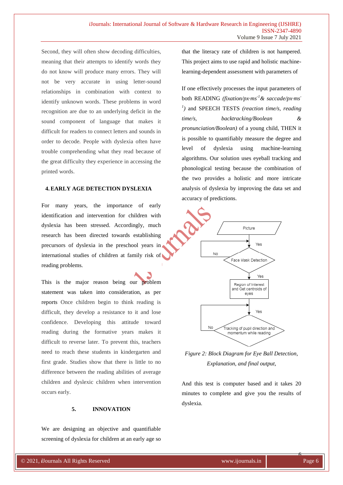Second, they will often show decoding difficulties, meaning that their attempts to identify words they do not know will produce many errors. They will not be very accurate in using letter-sound relationships in combination with context to identify unknown words. These problems in word recognition are due to an underlying deficit in the sound component of language that makes it difficult for readers to connect letters and sounds in order to decode. People with dyslexia often have trouble comprehending what they read because of the great difficulty they experience in accessing the printed words.

### **4.EARLY AGE DETECTION DYSLEXIA**

For many years, the importance of early identification and intervention for children with dyslexia has been stressed. Accordingly, much research has been directed towards establishing precursors of dyslexia in the preschool years in international studies of children at family risk of reading problems.

This is the major reason being our problem statement was taken into consideration, as per reports Once children begin to think reading is difficult, they develop a resistance to it and lose confidence. Developing this attitude toward reading during the formative years makes it difficult to reverse later. To prevent this, teachers need to reach these students in kindergarten and first grade. Studies show that there is little to no difference between the reading abilities of average children and dyslexic children when intervention occurs early.

#### **5. INNOVATION**

We are designing an objective and quantifiable screening of dyslexia for children at an early age so that the literacy rate of children is not hampered. This project aims to use rapid and holistic machinelearning-dependent assessment with parameters of

If one effectively processes the input parameters of both READING *(fixation/px·ms-1& saccade/px·ms-1 )* and SPEECH TESTS *(reaction time/s, reading time/s, backtracking/Boolean & pronunciation/Boolean)* of a young child, THEN it is possible to quantifiably measure the degree and level of dyslexia using machine-learning algorithms. Our solution uses eyeball tracking and phonological testing because the combination of the two provides a holistic and more intricate analysis of dyslexia by improving the data set and accuracy of predictions.



*Figure 2: Block Diagram for Eye Ball Detection, Explanation, and final output,*

And this test is computer based and it takes 20 minutes to complete and give you the results of dyslexia.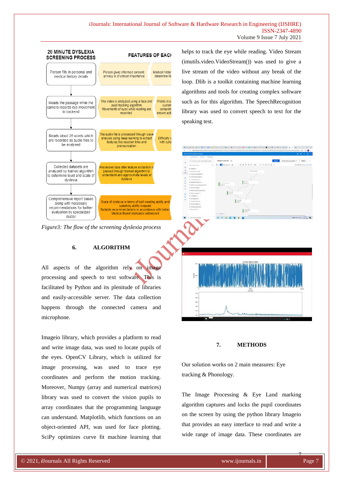

*Figure3: The flow of the screening dyslexia process*

#### **6. ALGORITHM**

All aspects of the algorithm rely on image processing and speech to text software. This is facilitated by Python and its plenitude of libraries and easily-accessible server. The data collection happens through the connected camera and microphone.

Imageio library, which provides a platform to read and write image data, was used to locate pupils of the eyes. OpenCV Library, which is utilized for image processing, was used to trace eye coordinates and perform the motion tracking. Moreover, Numpy (array and numerical matrices) library was used to convert the vision pupils to array coordinates that the programming language can understand. Matplotlib, which functions on an object-oriented API, was used for face plotting. SciPy optimizes curve fit machine learning that

helps to track the eye while reading. Video Stream (imutils.video.VideoStream()) was used to give a live stream of the video without any break of the loop. Dlib is a toolkit containing machine learning algorithms and tools for creating complex software such as for this algorithm. The SpeechRecognition library was used to convert speech to text for the speaking test.

 $\begin{array}{|c|c|}\hline \textbf{0} & \textbf{0} & \textbf{0} & \textbf{0} \\ \hline \textbf{0} & \textbf{0} & \textbf{0} & \textbf{0} \\ \hline \textbf{0} & \textbf{0} & \textbf{0} & \textbf{0} \\ \hline \end{array}$ 

E

 $\bullet$ 

F-

 $0.0589988$ 

 $\frac{1}{2} \left( \frac{1}{2} \right)$ 

# **7. METHODS**

Our solution works on 2 main measures: Eye tracking & Phonology.

The Image Processing & Eye Land marking algorithm captures and locks the pupil coordinates on the screen by using the python library Imageio that provides an easy interface to read and write a wide range of image data. These coordinates are

7

**MAN WALK AND REAL**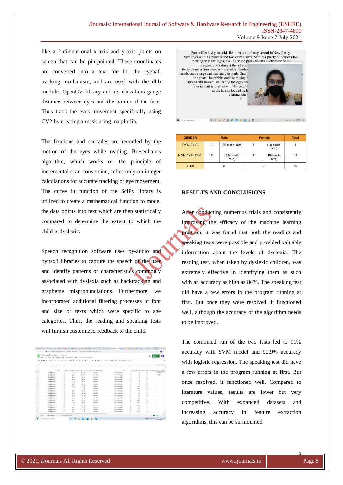like a 2-dimensional x-axis and y-axis points on screen that can be pin-pointed. These coordinates are converted into a text file for the eyeball tracking mechanism, and are used with the dlib module. OpenCV library and its classifiers gauge distance between eyes and the border of the face. Thus track the eyes movement specifically using CV2 by creating a mask using matplotlib.

The fixations and saccades are recorded by the motion of the eyes while reading. Bresenham's algorithm, which works on the principle of incremental scan conversion, relies only on integer calculations for accurate tracking of eye movement. The curve fit function of the SciPy library is utilized to create a mathematical function to model the data points into text which are then statistically compared to determine the extent to which the child is dyslexic.

Speech recognition software uses py-audio and pyttsx3 libraries to capture the speech of the user and identify patterns or characteristics commonly associated with dyslexia such as backtracking and grapheme mispronunciations. Furthermore, we incorporated additional filtering processes of font and size of texts which were specific to age categories. Thus, the reading and speaking tests will furnish customized feedback to the child.

|           |                  |                                 |                | C Bittsmap or three method and MAT Directed Call (9) - 25 No 40 and (4) UNIVERSE R |                      |        |                                                             |        |                                                              |                |                    |                                                    |        | ń<br>m        |
|-----------|------------------|---------------------------------|----------------|------------------------------------------------------------------------------------|----------------------|--------|-------------------------------------------------------------|--------|--------------------------------------------------------------|----------------|--------------------|----------------------------------------------------|--------|---------------|
|           |                  | NORWAL KIDS DATASET WITH 49     |                | The EN they least forms for Tells Adjoin this Constitute monitory                  |                      |        |                                                             |        |                                                              |                |                    |                                                    |        |               |
|           | <b>Himmed Th</b> |                                 |                |                                                                                    |                      |        |                                                             |        |                                                              |                |                    |                                                    |        |               |
| Libraries |                  |                                 |                |                                                                                    |                      |        |                                                             |        |                                                              |                |                    |                                                    |        |               |
|           |                  | $-1.95$                         | <b>SE</b>      |                                                                                    | $\sim$               | $\sim$ | $\rightarrow$                                               | $\sim$ | $\sim$                                                       |                | $\sim$             | $\sim$                                             | $\sim$ | $-12.0$       |
|           |                  |                                 |                |                                                                                    |                      |        |                                                             |        |                                                              |                |                    |                                                    |        |               |
|           |                  |                                 |                |                                                                                    |                      |        |                                                             |        |                                                              |                |                    |                                                    |        |               |
|           |                  |                                 | AREL.          |                                                                                    |                      |        | REACTION 1440, INFORMATIONS, BACKFIENSMAN, PHONES ROCKFIELD |        |                                                              | 1,044.1        |                    | THATTICH THE RESIDENT THIS EXCITATION CONTROL INC. |        |               |
|           |                  | New Lister                      |                | 670                                                                                | 8.01 MA              |        | <b>Joannew J</b>                                            |        | <b>Angua Villageage</b>                                      |                | u                  | 8.42                                               |        | Average       |
|           |                  | Aran Lietusi                    |                | 86                                                                                 | 8.64 Ma              |        | Verduct                                                     |        | <b><i>MANEY LEAVING</i></b>                                  |                | 1.1                | 3.22                                               |        | $n -$         |
|           |                  | Joriet & Almons                 |                | k No                                                                               | 1.45.484             |        | <b>Usedard</b>                                              |        | <b>Xingdan Cilcontralie</b>                                  |                | 1.3                | 21                                                 |        |               |
|           |                  | Annun Lositopic                 |                | 8.40                                                                               | 1.15.60              |        | Userview                                                    |        | Associal Cibratulus                                          |                | 16                 | 157                                                |        |               |
|           |                  | <b>NEW CHRIST</b>               |                | 4.162                                                                              | 1.84.326             |        | <b>Standard</b>                                             |        | <b>Boxer-Sharella</b>                                        |                |                    | $-14$                                              |        |               |
|           |                  | James L. Grosse                 |                | 6.2                                                                                | 1.46.944             |        | Danisland                                                   |        | <b>Engine Vibanzes</b>                                       |                | 1.4                | x ra                                               |        |               |
|           |                  | Annual General                  |                | 8.00                                                                               | 1.257 Min            |        | Constitute 1                                                |        | <b><i>Anjune Churches</i></b>                                |                | $\overline{12}$    | 168                                                |        |               |
|           |                  | Annual concer-                  |                | k isi                                                                              | List Ab              |        | <b>Wineshart</b>                                            |        | Anadel Martella                                              |                | ÷                  | 3.32                                               |        |               |
|           |                  | Autrist Entimeter               |                | $k^2/2$                                                                            | 9.8.52x              |        | <b>Meklegi</b>                                              |        | <b><i><u>Image</u></i></b> <i><b>I</b> <i>hamitta</i></i>    |                | 6x                 | $+1$                                               |        |               |
|           |                  | Annual Lietters                 | w              | 6.7                                                                                | $+50$                |        | Stanfald                                                    |        | <b>Ansan Shankte</b>                                         | w              | 6.29<br><b>ALL</b> | 236                                                |        |               |
|           |                  | few ard Jamese                  | n              | E.M.<br>k ali                                                                      | 14,326               |        | <b>Kunstski</b> l                                           |        | <b><i>Distant Musicket</i></b>                               | $\mathbb{R}$   |                    | 842                                                |        |               |
|           |                  | Santa Listened<br>As as Listage | $\mathbf{v}$   |                                                                                    | 3.34                 |        | Alevanor                                                    |        | <b>Joseph Chemists</b>                                       | $\overline{1}$ | $12^{1}$           | 3.4%                                               |        |               |
|           |                  | Auturn Landwice                 | w<br>w         | 9.91<br>6.80                                                                       | 1.00 Yes<br>1.21 424 |        | <b>Standard</b><br>Alabertale II                            |        | <b>Assumi Movings</b><br><b><i><u>Frank Tibertis</u></i></b> | $+1$<br>18     | 1.3d<br>1,34       | 118<br>3.48                                        |        |               |
|           |                  | <b>Jumsell</b> definite         | ٠              | $\epsilon$                                                                         | $1.23$ Ten           |        | <b>TABANEERS</b>                                            |        | <b>English Churches</b>                                      | $\sim$         | $+$                | $\times$ (h)                                       |        |               |
|           |                  | An'ar Lindson                   | $\blacksquare$ | \$1.000                                                                            | 7 196 364            |        | <b>Netwiek3</b>                                             |        | Alexand, West King                                           | 16             | 1.31               | $x +$                                              |        |               |
|           |                  | Aarlen Lukhum                   | w              | 6.SE                                                                               | 4.89.326             |        | <b>Contact</b>                                              |        | <b><i><u>Smide Marries</u></i></b>                           | $\rightarrow$  | <b>CALL</b>        | 224                                                |        |               |
|           |                  | laterar Logitum                 | ×              | <b>KIL</b>                                                                         | 12.5%                |        | Stewarters                                                  |        | <b>End of 1 Juni 24d</b>                                     | TR             | gi (gr)            | 3.4%                                               |        |               |
|           |                  | Air at Cather.                  |                | <b>Rd</b>                                                                          | 1.33.9%              |        | <b>State state 1</b>                                        |        | Anaug Museum                                                 | $^{12}$        | <b>EGR</b>         | 3.15                                               |        |               |
|           |                  | Anders Limiteds                 | $\approx$      | a to                                                                               | 1.8 Kin              |        | <b><i><u><u>Residues</u></u></i></b>                        |        | <b><i>Hygger Monetia</i></b>                                 | $\Rightarrow$  | 6.01               | 3.8%                                               |        |               |
|           |                  | Annual Lietust                  | $\rightarrow$  | 6.81                                                                               | 111.569              |        | <b>Statution's</b>                                          |        | Asset 14031881                                               | $\rightarrow$  | ÷                  | 8.4%                                               |        |               |
|           |                  | Axi ar Lochum                   | ×              | 8.4%                                                                               | 1.22 Abs             |        | <b>Racion</b> 1                                             |        | Assault Mascula                                              | 72             | 12                 | 227                                                |        |               |
|           |                  | Jana Labas                      | 23             | 1.35                                                                               | 1:37:58              |        | Norman's                                                    |        | <b>Jessie Shares</b>                                         | $^{22}$        | 1/32               | X15                                                |        |               |
|           |                  |                                 |                |                                                                                    |                      |        |                                                             |        |                                                              |                |                    |                                                    |        |               |
|           | ٠                | AMRO BASSET .                   |                | STERNEY MANAGERS -                                                                 |                      |        |                                                             |        |                                                              |                |                    |                                                    | ٠      | <b>Family</b> |



**O . . . . . . . . . .** 

| <b>GENDER</b>   |              | <b>Male</b>           | Female | <b>Total</b>        |    |
|-----------------|--------------|-----------------------|--------|---------------------|----|
| <b>DYSLEXIC</b> | $\mathbf{3}$ | (65 audio sets)       |        | (18 audio<br>sets)  | 4  |
| NON-DYSLEXIC    | 5            | $(125$ audio<br>sets) |        | (154 audio<br>sets) | 12 |
| <b>TOTAL</b>    |              | 8                     |        | R                   | 16 |

# **RESULTS AND CONCLUSIONS**

After conducting numerous trials and consistently improving the efficacy of the machine learning program, it was found that both the reading and speaking tests were possible and provided valuable information about the levels of dyslexia. The reading test, when taken by dyslexic children, was extremely effective in identifying them as such with an accuracy as high as 86%. The speaking test did have a few errors in the program running at first. But once they were resolved, it functioned well, although the accuracy of the algorithm needs to be improved.

The combined run of the two tests led to 91% accuracy with SVM model and 90.9% accuracy with logistic regression. The speaking test did have a few errors in the program running at first. But once resolved, it functioned well. Compared to literature values, results are lower but very competitive. With expanded datasets and increasing accuracy in feature extraction algorithms, this can be surmounted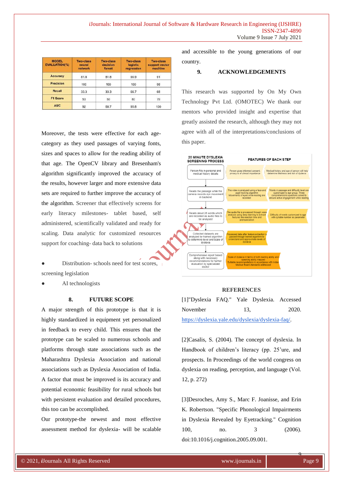| <b>MODEL</b><br><b>EVALUATION(%)</b> | <b>Two-class</b><br>neural<br>network | <b>Two-class</b><br>decision<br>forest | <b>Two-class</b><br>logistic<br>regression | <b>Two-class</b><br>support vector<br>machine |
|--------------------------------------|---------------------------------------|----------------------------------------|--------------------------------------------|-----------------------------------------------|
| <b>Accuracy</b>                      | 81.8                                  | 81.8                                   | 90.9                                       | 91                                            |
| <b>Precision</b>                     | 100                                   | 100                                    | 100                                        | 98                                            |
| Recall                               | 33.3                                  | 33.3                                   | 66.7                                       | 68                                            |
| <b>F1 Score</b>                      | 50                                    | 50                                     | 80                                         | 79                                            |
| <b>AUC</b>                           | 92                                    | 68.7                                   | 95.8                                       | 100                                           |

Moreover, the tests were effective for each agecategory as they used passages of varying fonts, sizes and spaces to allow for the reading ability of that age. The OpenCV library and Bresenham's algorithm significantly improved the accuracy of the results, however larger and more extensive data sets are required to further improve the accuracy of the algorithm. Screener that effectively screens for early literacy milestones- tablet based, self administered, scientifically validated and ready for scaling. Data analytic for customized resources support for coaching- data back to solutions

Distribution- schools need for test scores,  $\Box$ screening legislation

AI technologists

#### **8. FUTURE SCOPE**

A major strength of this prototype is that it is highly standardized in equipment yet personalized in feedback to every child. This ensures that the prototype can be scaled to numerous schools and platforms through state associations such as the Maharashtra Dyslexia Association and national associations such as Dyslexia Association of India. A factor that must be improved is its accuracy and potential economic feasibility for rural schools but with persistent evaluation and detailed procedures, this too can be accomplished.

Our prototype-the newest and most effective assessment method for dyslexia- will be scalable and accessible to the young generations of our country.

#### **9. ACKNOWLEDGEMENTS**

This research was supported by On My Own Technology Pvt Ltd. (OMOTEC) We thank our mentors who provided insight and expertise that greatly assisted the research, although they may not agree with all of the interpretations/conclusions of this paper.



#### **REFERENCES**

| [1]"Dyslexia FAQ." Yale Dyslexia. Accessed        |     |       |
|---------------------------------------------------|-----|-------|
| November                                          | 13. | 2020. |
| https://dyslexia.yale.edu/dyslexia/dyslexia-faq/. |     |       |

[2]Casalis, S. (2004). The concept of dyslexia. In Handbook of children's literacy (pp. 25'ure, and prospects. In Proceedings of the world congress on dyslexia on reading, perception, and language (Vol. 12, p. 272)

[3]Desroches, Amy S., Marc F. Joanisse, and Erin K. Robertson. "Specific Phonological Impairments in Dyslexia Revealed by Eyetracking." Cognition 100, no. 3 (2006). doi:10.1016/j.cognition.2005.09.001.